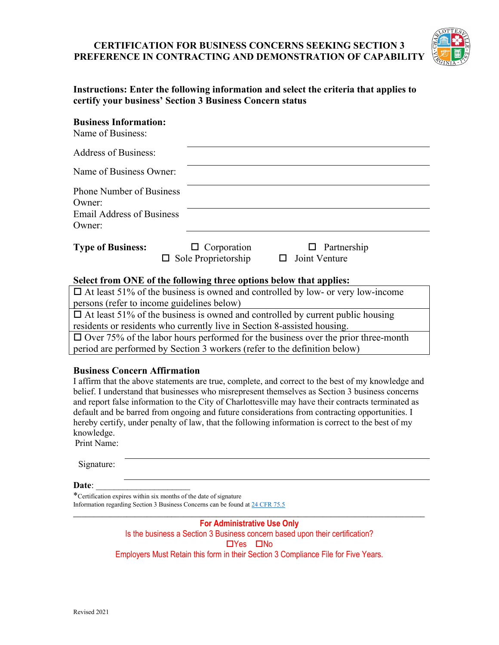# **CERTIFICATION FOR BUSINESS CONCERNS SEEKING SECTION 3 PREFERENCE IN CONTRACTING AND DEMONSTRATION OF CAPABILITY**



| Instructions: Enter the following information and select the criteria that applies to |
|---------------------------------------------------------------------------------------|
| certify your business' Section 3 Business Concern status                              |

## **Business Information:**

| Name of Business:                         |                                                  |                                            |  |
|-------------------------------------------|--------------------------------------------------|--------------------------------------------|--|
| <b>Address of Business:</b>               |                                                  |                                            |  |
| Name of Business Owner:                   |                                                  |                                            |  |
| <b>Phone Number of Business</b><br>Owner: |                                                  |                                            |  |
| <b>Email Address of Business</b>          |                                                  |                                            |  |
| Owner:                                    |                                                  |                                            |  |
| <b>Type of Business:</b>                  | $\Box$ Corporation<br>$\Box$ Sole Proprietorship | $\Box$ Partnership<br>$\Box$ Joint Venture |  |

### **Select from ONE of the following three options below that applies:**

| $\Box$ At least 51% of the business is owned and controlled by low- or very low-income   |  |  |
|------------------------------------------------------------------------------------------|--|--|
| persons (refer to income guidelines below)                                               |  |  |
| $\Box$ At least 51% of the business is owned and controlled by current public housing    |  |  |
| residents or residents who currently live in Section 8-assisted housing.                 |  |  |
| $\Box$ Over 75% of the labor hours performed for the business over the prior three-month |  |  |
| period are performed by Section 3 workers (refer to the definition below)                |  |  |

### **Business Concern Affirmation**

I affirm that the above statements are true, complete, and correct to the best of my knowledge and belief. I understand that businesses who misrepresent themselves as Section 3 business concerns and report false information to the City of Charlottesville may have their contracts terminated as default and be barred from ongoing and future considerations from contracting opportunities. I hereby certify, under penalty of law, that the following information is correct to the best of my knowledge.

Print Name:

**Date:** 

\*Certification expires within six months of the date of signature Information regarding Section 3 Business Concerns can be found a[t 24 CFR 75.5](https://www.ecfr.gov/cgi-bin/text-idx?SID=569b66a547528bf6c5c47f75b825cb94&mc=true&node=pt24.1.75&rgn=div5#se24.1.75_15)

#### **For Administrative Use Only** Is the business a Section 3 Business concern based upon their certification?

 $\Box$ Yes  $\Box$ No

\_\_\_\_\_\_\_\_\_\_\_\_\_\_\_\_\_\_\_\_\_\_\_\_\_\_\_\_\_\_\_\_\_\_\_\_\_\_\_\_\_\_\_\_\_\_\_\_\_\_\_\_\_\_\_\_\_\_\_\_\_\_\_\_\_\_\_\_\_\_\_\_\_\_\_\_\_\_\_\_\_\_\_\_\_\_

Employers Must Retain this form in their Section 3 Compliance File for Five Years.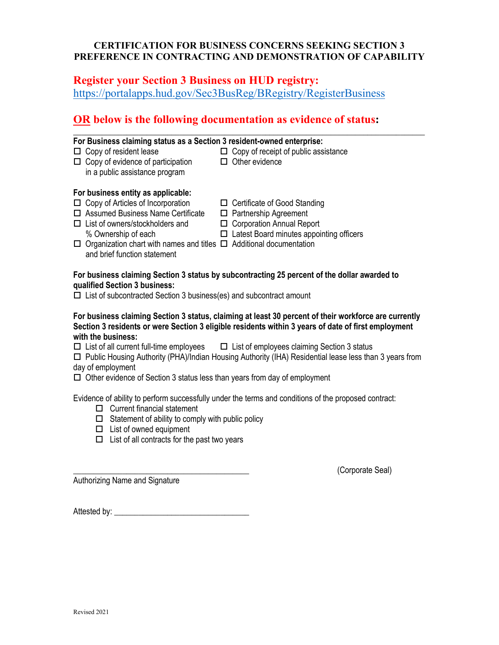# **CERTIFICATION FOR BUSINESS CONCERNS SEEKING SECTION 3 PREFERENCE IN CONTRACTING AND DEMONSTRATION OF CAPABILITY**

\_\_\_\_\_\_\_\_\_\_\_\_\_\_\_\_\_\_\_\_\_\_\_\_\_\_\_\_\_\_\_\_\_\_\_\_\_\_\_\_\_\_\_\_\_\_\_\_\_\_\_\_\_\_\_\_\_\_\_\_\_\_\_\_\_\_\_\_\_\_\_\_\_\_\_\_\_\_\_\_\_\_\_\_\_\_

# **Register your Section 3 Business on HUD registry:** <https://portalapps.hud.gov/Sec3BusReg/BRegistry/RegisterBusiness>

# **OR below is the following documentation as evidence of status:**

| For Business claiming status as a Section 3 resident-owned enterprise:                                      |                                                                      |
|-------------------------------------------------------------------------------------------------------------|----------------------------------------------------------------------|
| $\Box$ Copy of resident lease<br>$\Box$ Copy of evidence of participation<br>in a public assistance program | $\Box$ Copy of receipt of public assistance<br>$\Box$ Other evidence |
| For business entity as applicable:                                                                          |                                                                      |
| $\Box$ Copy of Articles of Incorporation<br>$\Box$ Assumed Business Name Certificate                        | $\Box$ Certificate of Good Standing<br>$\Box$ Partnership Agreement  |

- $\Box$  List of owners/stockholders and  $\Box$  Corporation Annual Report
- 
- - % Ownership of each Latest Board minutes appointing officers
- $\Box$  Organization chart with names and titles  $\Box$  Additional documentation

# and brief function statement **For business claiming Section 3 status by subcontracting 25 percent of the dollar awarded to**

### **qualified Section 3 business:**

 $\Box$  List of subcontracted Section 3 business(es) and subcontract amount

**For business claiming Section 3 status, claiming at least 30 percent of their workforce are currently Section 3 residents or were Section 3 eligible residents within 3 years of date of first employment with the business:**

 $\Box$  List of all current full-time employees  $\Box$  List of employees claiming Section 3 status

 $\Box$  Public Housing Authority (PHA)/Indian Housing Authority (IHA) Residential lease less than 3 years from day of employment

 $\Box$  Other evidence of Section 3 status less than years from day of employment

Evidence of ability to perform successfully under the terms and conditions of the proposed contract:

- □ Current financial statement
- $\square$  Statement of ability to comply with public policy
- $\Box$  List of owned equipment
- $\Box$  List of all contracts for the past two years

\_\_\_\_\_\_\_\_\_\_\_\_\_\_\_\_\_\_\_\_\_\_\_\_\_\_\_\_\_\_\_\_\_\_\_\_\_\_\_\_\_\_\_ (Corporate Seal)

Authorizing Name and Signature

Attested by: